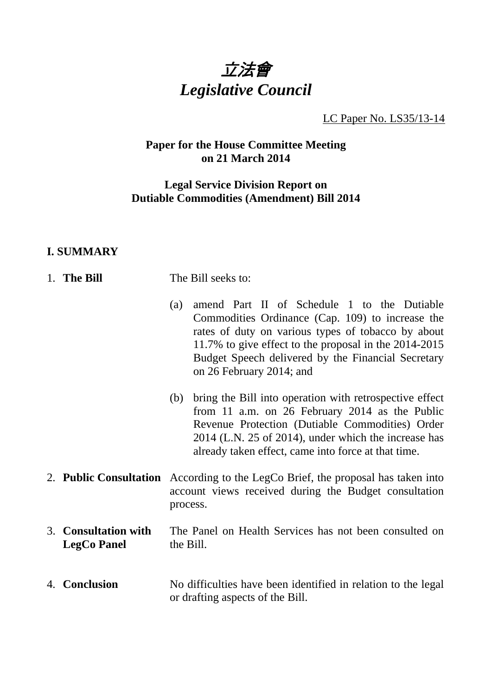

LC Paper No. LS35/13-14

# **Paper for the House Committee Meeting on 21 March 2014**

## **Legal Service Division Report on Dutiable Commodities (Amendment) Bill 2014**

# **I. SUMMARY**

| 1. The Bill                                | The Bill seeks to:                                                                                                                                                                                                                                                                                      |  |  |
|--------------------------------------------|---------------------------------------------------------------------------------------------------------------------------------------------------------------------------------------------------------------------------------------------------------------------------------------------------------|--|--|
|                                            | amend Part II of Schedule 1 to the Dutiable<br>(a)<br>Commodities Ordinance (Cap. 109) to increase the<br>rates of duty on various types of tobacco by about<br>11.7% to give effect to the proposal in the 2014-2015<br>Budget Speech delivered by the Financial Secretary<br>on 26 February 2014; and |  |  |
|                                            | bring the Bill into operation with retrospective effect<br>(b)<br>from 11 a.m. on 26 February 2014 as the Public<br>Revenue Protection (Dutiable Commodities) Order<br>2014 (L.N. 25 of 2014), under which the increase has<br>already taken effect, came into force at that time.                      |  |  |
|                                            | 2. <b>Public Consultation</b> According to the LegCo Brief, the proposal has taken into<br>account views received during the Budget consultation<br>process.                                                                                                                                            |  |  |
| 3. Consultation with<br><b>LegCo Panel</b> | The Panel on Health Services has not been consulted on<br>the Bill.                                                                                                                                                                                                                                     |  |  |
| 4. Conclusion                              | No difficulties have been identified in relation to the legal<br>or drafting aspects of the Bill.                                                                                                                                                                                                       |  |  |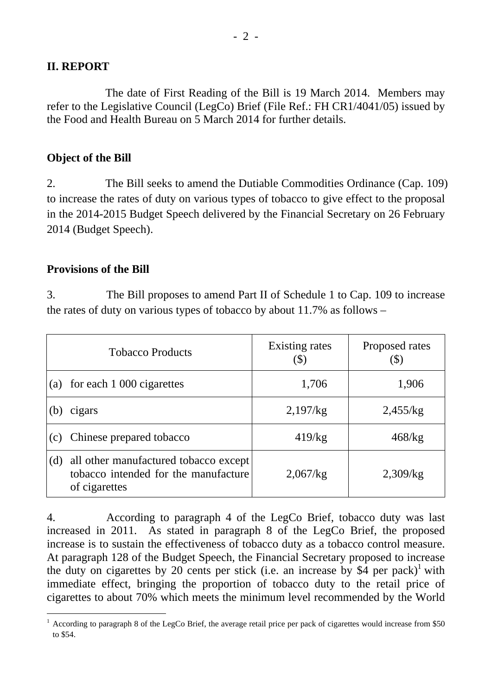### **II. REPORT**

 The date of First Reading of the Bill is 19 March 2014. Members may refer to the Legislative Council (LegCo) Brief (File Ref.: FH CR1/4041/05) issued by the Food and Health Bureau on 5 March 2014 for further details.

#### **Object of the Bill**

2. The Bill seeks to amend the Dutiable Commodities Ordinance (Cap. 109) to increase the rates of duty on various types of tobacco to give effect to the proposal in the 2014-2015 Budget Speech delivered by the Financial Secretary on 26 February 2014 (Budget Speech).

#### **Provisions of the Bill**

3. The Bill proposes to amend Part II of Schedule 1 to Cap. 109 to increase the rates of duty on various types of tobacco by about 11.7% as follows –

| <b>Tobacco Products</b> |                                                                                                | <b>Existing rates</b><br>$\left( \text{\$}\right)$ | Proposed rates<br>$\Phi$ |
|-------------------------|------------------------------------------------------------------------------------------------|----------------------------------------------------|--------------------------|
| (a)                     | for each 1 000 cigarettes                                                                      | 1,706                                              | 1,906                    |
| (b)                     | cigars                                                                                         | 2,197/kg                                           | 2,455/kg                 |
| (c)                     | Chinese prepared tobacco                                                                       | 419/kg                                             | 468/kg                   |
| (d)                     | all other manufactured tobacco except<br>tobacco intended for the manufacture<br>of cigarettes | 2,067/kg                                           | 2,309/kg                 |

4. According to paragraph 4 of the LegCo Brief, tobacco duty was last increased in 2011. As stated in paragraph 8 of the LegCo Brief, the proposed increase is to sustain the effectiveness of tobacco duty as a tobacco control measure. At paragraph 128 of the Budget Speech, the Financial Secretary proposed to increase the duty on cigarettes by 20 cents per stick (i.e. an increase by  $\$4$  per pack)<sup>1</sup> with immediate effect, bringing the proportion of tobacco duty to the retail price of cigarettes to about 70% which meets the minimum level recommended by the World

<sup>&</sup>lt;sup>1</sup> According to paragraph 8 of the LegCo Brief, the average retail price per pack of cigarettes would increase from \$50 to \$54.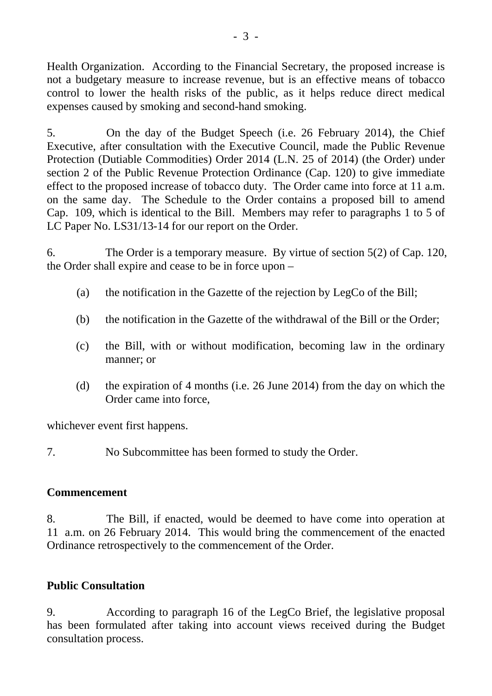Health Organization. According to the Financial Secretary, the proposed increase is not a budgetary measure to increase revenue, but is an effective means of tobacco control to lower the health risks of the public, as it helps reduce direct medical expenses caused by smoking and second-hand smoking.

5. On the day of the Budget Speech (i.e. 26 February 2014), the Chief Executive, after consultation with the Executive Council, made the Public Revenue Protection (Dutiable Commodities) Order 2014 (L.N. 25 of 2014) (the Order) under section 2 of the Public Revenue Protection Ordinance (Cap. 120) to give immediate effect to the proposed increase of tobacco duty. The Order came into force at 11 a.m. on the same day. The Schedule to the Order contains a proposed bill to amend Cap. 109, which is identical to the Bill. Members may refer to paragraphs 1 to 5 of LC Paper No. LS31/13-14 for our report on the Order.

6. The Order is a temporary measure. By virtue of section 5(2) of Cap. 120, the Order shall expire and cease to be in force upon –

- (a) the notification in the Gazette of the rejection by LegCo of the Bill;
- (b) the notification in the Gazette of the withdrawal of the Bill or the Order;
- (c) the Bill, with or without modification, becoming law in the ordinary manner; or
- (d) the expiration of 4 months (i.e. 26 June 2014) from the day on which the Order came into force,

whichever event first happens.

7. No Subcommittee has been formed to study the Order.

# **Commencement**

8. The Bill, if enacted, would be deemed to have come into operation at 11 a.m. on 26 February 2014. This would bring the commencement of the enacted Ordinance retrospectively to the commencement of the Order.

# **Public Consultation**

9. According to paragraph 16 of the LegCo Brief, the legislative proposal has been formulated after taking into account views received during the Budget consultation process.